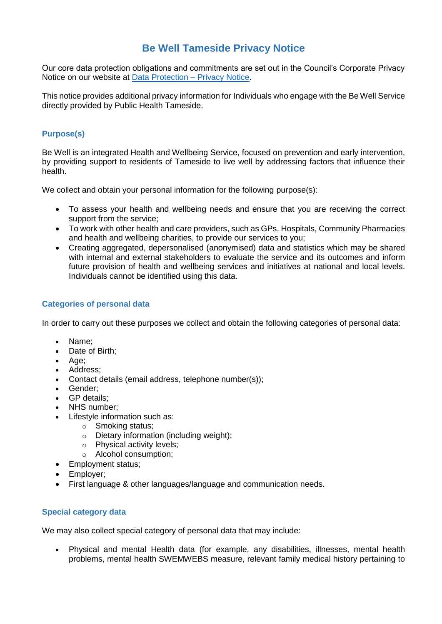# **Be Well Tameside Privacy Notice**

Our core data protection obligations and commitments are set out in the Council's Corporate Privacy Notice on our website at [Data Protection –](https://www.tameside.gov.uk/dataprotection/PrivacyNotice) Privacy Notice.

This notice provides additional privacy information for Individuals who engage with the Be Well Service directly provided by Public Health Tameside.

## **Purpose(s)**

Be Well is an integrated Health and Wellbeing Service, focused on prevention and early intervention, by providing support to residents of Tameside to live well by addressing factors that influence their health.

We collect and obtain your personal information for the following purpose(s):

- To assess your health and wellbeing needs and ensure that you are receiving the correct support from the service;
- To work with other health and care providers, such as GPs, Hospitals, Community Pharmacies and health and wellbeing charities, to provide our services to you;
- Creating aggregated, depersonalised (anonymised) data and statistics which may be shared with internal and external stakeholders to evaluate the service and its outcomes and inform future provision of health and wellbeing services and initiatives at national and local levels. Individuals cannot be identified using this data.

# **Categories of personal data**

In order to carry out these purposes we collect and obtain the following categories of personal data:

- Name:
- Date of Birth;
- $\bullet$  Age;
- Address;
- Contact details (email address, telephone number(s));
- Gender;
- GP details;
- NHS number;
- Lifestyle information such as:
	- o Smoking status;
	- o Dietary information (including weight);
	- o Physical activity levels;
	- o Alcohol consumption;
- Employment status:
- Employer;
- First language & other languages/language and communication needs.

## **Special category data**

We may also collect special category of personal data that may include:

 Physical and mental Health data (for example, any disabilities, illnesses, mental health problems, mental health SWEMWEBS measure, relevant family medical history pertaining to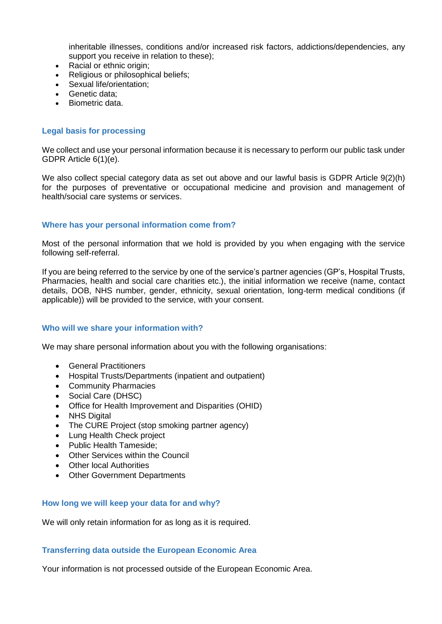inheritable illnesses, conditions and/or increased risk factors, addictions/dependencies, any support you receive in relation to these);

- Racial or ethnic origin;
- Religious or philosophical beliefs;
- Sexual life/orientation;
- Genetic data;
- Biometric data.

#### **Legal basis for processing**

We collect and use your personal information because it is necessary to perform our public task under GDPR Article 6(1)(e).

We also collect special category data as set out above and our lawful basis is GDPR Article 9(2)(h) for the purposes of preventative or occupational medicine and provision and management of health/social care systems or services.

#### **Where has your personal information come from?**

Most of the personal information that we hold is provided by you when engaging with the service following self-referral.

If you are being referred to the service by one of the service's partner agencies (GP's, Hospital Trusts, Pharmacies, health and social care charities etc.), the initial information we receive (name, contact details, DOB, NHS number, gender, ethnicity, sexual orientation, long-term medical conditions (if applicable)) will be provided to the service, with your consent.

## **Who will we share your information with?**

We may share personal information about you with the following organisations:

- General Practitioners
- Hospital Trusts/Departments (inpatient and outpatient)
- Community Pharmacies
- Social Care (DHSC)
- Office for Health Improvement and Disparities (OHID)
- **NHS Digital**
- The CURE Project (stop smoking partner agency)
- Lung Health Check project
- Public Health Tameside:
- Other Services within the Council
- Other local Authorities
- Other Government Departments

#### **How long we will keep your data for and why?**

We will only retain information for as long as it is required.

#### **Transferring data outside the European Economic Area**

Your information is not processed outside of the European Economic Area.